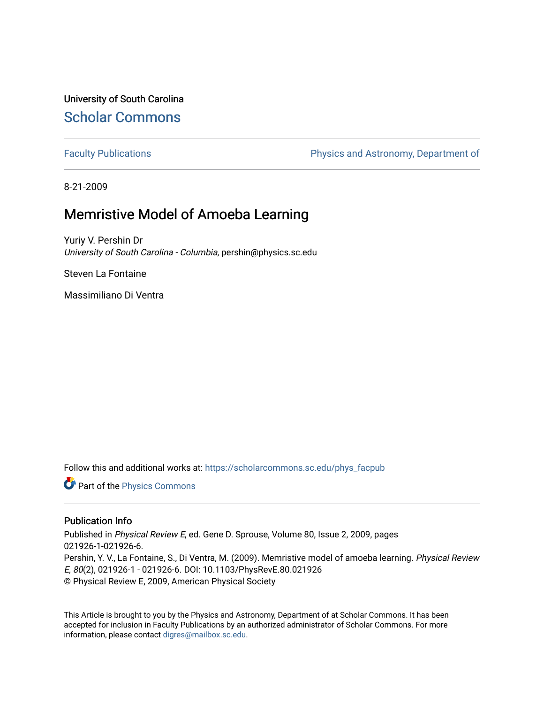University of South Carolina [Scholar Commons](https://scholarcommons.sc.edu/) 

[Faculty Publications](https://scholarcommons.sc.edu/phys_facpub) **Physics and Astronomy, Department of** 

8-21-2009

# Memristive Model of Amoeba Learning

Yuriy V. Pershin Dr University of South Carolina - Columbia, pershin@physics.sc.edu

Steven La Fontaine

Massimiliano Di Ventra

Follow this and additional works at: [https://scholarcommons.sc.edu/phys\\_facpub](https://scholarcommons.sc.edu/phys_facpub?utm_source=scholarcommons.sc.edu%2Fphys_facpub%2F76&utm_medium=PDF&utm_campaign=PDFCoverPages)

Part of the [Physics Commons](http://network.bepress.com/hgg/discipline/193?utm_source=scholarcommons.sc.edu%2Fphys_facpub%2F76&utm_medium=PDF&utm_campaign=PDFCoverPages)

## Publication Info

Published in Physical Review E, ed. Gene D. Sprouse, Volume 80, Issue 2, 2009, pages 021926-1-021926-6. Pershin, Y. V., La Fontaine, S., Di Ventra, M. (2009). Memristive model of amoeba learning. Physical Review E, 80(2), 021926-1 - 021926-6. DOI: 10.1103/PhysRevE.80.021926 © Physical Review E, 2009, American Physical Society

This Article is brought to you by the Physics and Astronomy, Department of at Scholar Commons. It has been accepted for inclusion in Faculty Publications by an authorized administrator of Scholar Commons. For more information, please contact [digres@mailbox.sc.edu.](mailto:digres@mailbox.sc.edu)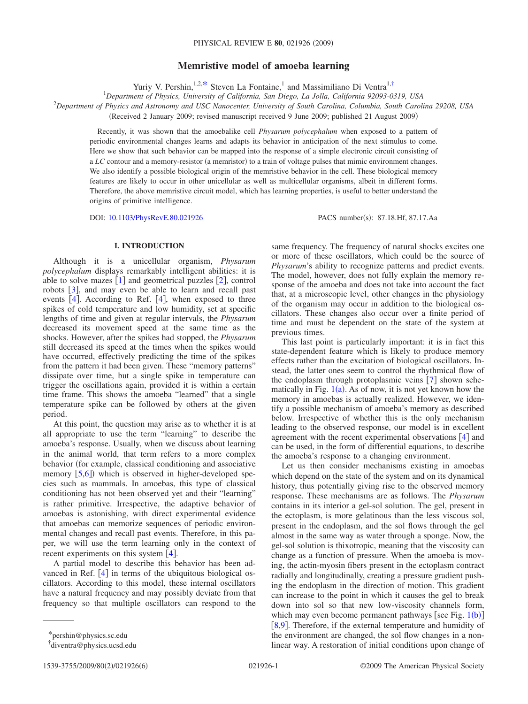### **Memristive model of amoeba learning**

Yuriy V. Pershin,<sup>1,2[,\\*](#page-1-0)</sup> Steven La Fontaine,<sup>1</sup> and Massimiliano Di Ventra<sup>1[,†](#page-1-1)</sup>

1 *Department of Physics, University of California, San Diego, La Jolla, California 92093-0319, USA*

2 *Department of Physics and Astronomy and USC Nanocenter, University of South Carolina, Columbia, South Carolina 29208, USA*

Received 2 January 2009; revised manuscript received 9 June 2009; published 21 August 2009-

Recently, it was shown that the amoebalike cell *Physarum polycephalum* when exposed to a pattern of periodic environmental changes learns and adapts its behavior in anticipation of the next stimulus to come. Here we show that such behavior can be mapped into the response of a simple electronic circuit consisting of a LC contour and a memory-resistor (a memristor) to a train of voltage pulses that mimic environment changes. We also identify a possible biological origin of the memristive behavior in the cell. These biological memory features are likely to occur in other unicellular as well as multicellular organisms, albeit in different forms. Therefore, the above memristive circuit model, which has learning properties, is useful to better understand the origins of primitive intelligence.

DOI: [10.1103/PhysRevE.80.021926](http://dx.doi.org/10.1103/PhysRevE.80.021926)

PACS number(s): 87.18.Hf, 87.17.Aa

#### **I. INTRODUCTION**

Although it is a unicellular organism, *Physarum polycephalum* displays remarkably intelligent abilities: it is able to solve mazes  $\lceil 1 \rceil$  $\lceil 1 \rceil$  $\lceil 1 \rceil$  and geometrical puzzles  $\lceil 2 \rceil$  $\lceil 2 \rceil$  $\lceil 2 \rceil$ , control robots  $\lceil 3 \rceil$  $\lceil 3 \rceil$  $\lceil 3 \rceil$ , and may even be able to learn and recall past events  $[4]$  $[4]$  $[4]$ . According to Ref.  $[4]$ , when exposed to three spikes of cold temperature and low humidity, set at specific lengths of time and given at regular intervals, the *Physarum* decreased its movement speed at the same time as the shocks. However, after the spikes had stopped, the *Physarum* still decreased its speed at the times when the spikes would have occurred, effectively predicting the time of the spikes from the pattern it had been given. These "memory patterns" dissipate over time, but a single spike in temperature can trigger the oscillations again, provided it is within a certain time frame. This shows the amoeba "learned" that a single temperature spike can be followed by others at the given period.

At this point, the question may arise as to whether it is at all appropriate to use the term "learning" to describe the amoeba's response. Usually, when we discuss about learning in the animal world, that term refers to a more complex behavior (for example, classical conditioning and associative memory  $[5,6]$  $[5,6]$  $[5,6]$  $[5,6]$ ) which is observed in higher-developed species such as mammals. In amoebas, this type of classical conditioning has not been observed yet and their "learning" is rather primitive. Irrespective, the adaptive behavior of amoebas is astonishing, with direct experimental evidence that amoebas can memorize sequences of periodic environmental changes and recall past events. Therefore, in this paper, we will use the term learning only in the context of recent experiments on this system  $[4]$  $[4]$  $[4]$ .

A partial model to describe this behavior has been advanced in Ref.  $[4]$  $[4]$  $[4]$  in terms of the ubiquitous biological oscillators. According to this model, these internal oscillators have a natural frequency and may possibly deviate from that frequency so that multiple oscillators can respond to the

same frequency. The frequency of natural shocks excites one or more of these oscillators, which could be the source of *Physarum*'s ability to recognize patterns and predict events. The model, however, does not fully explain the memory response of the amoeba and does not take into account the fact that, at a microscopic level, other changes in the physiology of the organism may occur in addition to the biological oscillators. These changes also occur over a finite period of time and must be dependent on the state of the system at previous times.

This last point is particularly important: it is in fact this state-dependent feature which is likely to produce memory effects rather than the excitation of biological oscillators. Instead, the latter ones seem to control the rhythmical flow of the endoplasm through protoplasmic veins  $[7]$  $[7]$  $[7]$  shown schematically in Fig.  $1(a)$  $1(a)$ . As of now, it is not yet known how the memory in amoebas is actually realized. However, we identify a possible mechanism of amoeba's memory as described below. Irrespective of whether this is the only mechanism leading to the observed response, our model is in excellent agreement with the recent experimental observations  $\lceil 4 \rceil$  $\lceil 4 \rceil$  $\lceil 4 \rceil$  and can be used, in the form of differential equations, to describe the amoeba's response to a changing environment.

Let us then consider mechanisms existing in amoebas which depend on the state of the system and on its dynamical history, thus potentially giving rise to the observed memory response. These mechanisms are as follows. The *Physarum* contains in its interior a gel-sol solution. The gel, present in the ectoplasm, is more gelatinous than the less viscous sol, present in the endoplasm, and the sol flows through the gel almost in the same way as water through a sponge. Now, the gel-sol solution is thixotropic, meaning that the viscosity can change as a function of pressure. When the amoeba is moving, the actin-myosin fibers present in the ectoplasm contract radially and longitudinally, creating a pressure gradient pushing the endoplasm in the direction of motion. This gradient can increase to the point in which it causes the gel to break down into sol so that new low-viscosity channels form, which may even become permanent pathways [see Fig.  $1(b)$  $1(b)$ ] [[8,](#page-5-7)[9](#page-5-8)]. Therefore, if the external temperature and humidity of the environment are changed, the sol flow changes in a nonlinear way. A restoration of initial conditions upon change of

<span id="page-1-0"></span><sup>\*</sup>pershin@physics.sc.edu

<span id="page-1-1"></span><sup>†</sup> diventra@physics.ucsd.edu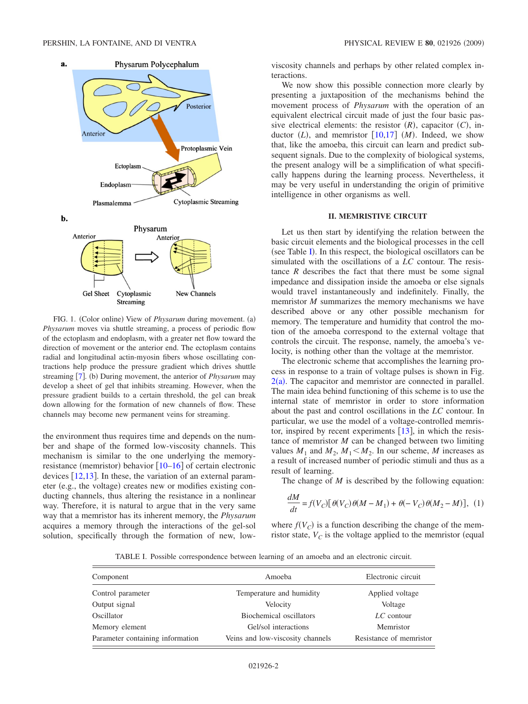<span id="page-2-0"></span>

FIG. 1. (Color online) View of *Physarum* during movement. (a) *Physarum* moves via shuttle streaming, a process of periodic flow of the ectoplasm and endoplasm, with a greater net flow toward the direction of movement or the anterior end. The ectoplasm contains radial and longitudinal actin-myosin fibers whose oscillating contractions help produce the pressure gradient which drives shuttle streaming [[7](#page-5-6)]. (b) During movement, the anterior of *Physarum* may develop a sheet of gel that inhibits streaming. However, when the pressure gradient builds to a certain threshold, the gel can break down allowing for the formation of new channels of flow. These channels may become new permanent veins for streaming.

the environment thus requires time and depends on the number and shape of the formed low-viscosity channels. This mechanism is similar to the one underlying the memoryresistance (memristor) behavior  $[10-16]$  $[10-16]$  $[10-16]$  of certain electronic devices  $[12,13]$  $[12,13]$  $[12,13]$  $[12,13]$ . In these, the variation of an external parameter (e.g., the voltage) creates new or modifies existing conducting channels, thus altering the resistance in a nonlinear way. Therefore, it is natural to argue that in the very same way that a memristor has its inherent memory, the *Physarum* acquires a memory through the interactions of the gel-sol solution, specifically through the formation of new, lowviscosity channels and perhaps by other related complex interactions.

We now show this possible connection more clearly by presenting a juxtaposition of the mechanisms behind the movement process of *Physarum* with the operation of an equivalent electrical circuit made of just the four basic passive electrical elements: the resistor  $(R)$ , capacitor  $(C)$ , inductor  $(L)$ , and memristor  $[10,17]$  $[10,17]$  $[10,17]$  $[10,17]$   $(M)$ . Indeed, we show that, like the amoeba, this circuit can learn and predict subsequent signals. Due to the complexity of biological systems, the present analogy will be a simplification of what specifically happens during the learning process. Nevertheless, it may be very useful in understanding the origin of primitive intelligence in other organisms as well.

#### **II. MEMRISTIVE CIRCUIT**

Let us then start by identifying the relation between the basic circuit elements and the biological processes in the cell (see Table [I](#page-2-1)). In this respect, the biological oscillators can be simulated with the oscillations of a *LC* contour. The resistance  $R$  describes the fact that there must be some signal impedance and dissipation inside the amoeba or else signals would travel instantaneously and indefinitely. Finally, the memristor *M* summarizes the memory mechanisms we have described above or any other possible mechanism for memory. The temperature and humidity that control the motion of the amoeba correspond to the external voltage that controls the circuit. The response, namely, the amoeba's velocity, is nothing other than the voltage at the memristor.

The electronic scheme that accomplishes the learning process in response to a train of voltage pulses is shown in Fig.  $2(a)$  $2(a)$ . The capacitor and memristor are connected in parallel. The main idea behind functioning of this scheme is to use the internal state of memristor in order to store information about the past and control oscillations in the *LC* contour. In particular, we use the model of a voltage-controlled memristor, inspired by recent experiments  $[13]$  $[13]$  $[13]$ , in which the resistance of memristor *M* can be changed between two limiting values  $M_1$  and  $M_2$ ,  $M_1 < M_2$ . In our scheme, M increases as a result of increased number of periodic stimuli and thus as a result of learning.

<span id="page-2-2"></span>The change of *M* is described by the following equation:

$$
\frac{dM}{dt} = f(V_C) \left[ \theta(V_C) \theta(M - M_1) + \theta(-V_C) \theta(M_2 - M) \right], (1)
$$

where  $f(V_C)$  is a function describing the change of the memristor state,  $V_C$  is the voltage applied to the memristor (equal

TABLE I. Possible correspondence between learning of an amoeba and an electronic circuit.

<span id="page-2-1"></span>

| Component                        | Amoeba                           | Electronic circuit      |
|----------------------------------|----------------------------------|-------------------------|
| Control parameter                | Temperature and humidity         | Applied voltage         |
| Output signal                    | Velocity                         | Voltage                 |
| Oscillator                       | Biochemical oscillators          | $LC$ contour            |
| Memory element                   | Gel/sol interactions             | Memristor               |
| Parameter containing information | Veins and low-viscosity channels | Resistance of memristor |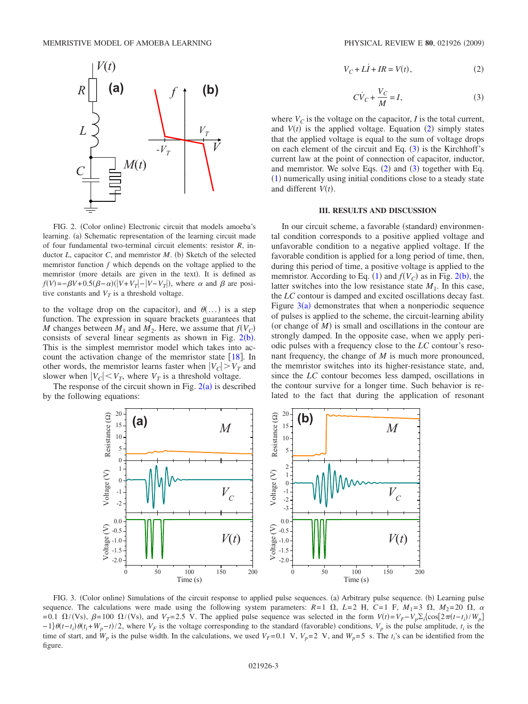<span id="page-3-0"></span>

FIG. 2. (Color online) Electronic circuit that models amoeba's learning. (a) Schematic representation of the learning circuit made of four fundamental two-terminal circuit elements: resistor *R*, inductor  $L$ , capacitor  $C$ , and memristor  $M$ . (b) Sketch of the selected memristor function *f* which depends on the voltage applied to the memristor (more details are given in the text). It is defined as  $f(V) = -\beta V + 0.5(\beta - \alpha)(|V + V_T| - |V - V_T|)$ , where  $\alpha$  and  $\beta$  are positive constants and  $V_T$  is a threshold voltage.

to the voltage drop on the capacitor), and  $\theta$ ...) is a step function. The expression in square brackets guarantees that *M* changes between  $M_1$  and  $M_2$ . Here, we assume that  $f(V_C)$ consists of several linear segments as shown in Fig.  $2(b)$  $2(b)$ . This is the simplest memristor model which takes into account the activation change of the memristor state  $[18]$  $[18]$  $[18]$ . In other words, the memristor learns faster when  $|V_C| > V_T$  and slower when  $|V_C|$   $\lt V_T$ , where  $V_T$  is a threshold voltage.

<span id="page-3-3"></span>The response of the circuit shown in Fig.  $2(a)$  $2(a)$  is described by the following equations:

$$
V_C + L\dot{I} + IR = V(t),\tag{2}
$$

$$
C\dot{V}_C + \frac{V_C}{M} = I,\t\t(3)
$$

<span id="page-3-2"></span><span id="page-3-1"></span>where  $V_C$  is the voltage on the capacitor, *I* is the total current, and  $V(t)$  is the applied voltage. Equation ([2](#page-3-1)) simply states that the applied voltage is equal to the sum of voltage drops on each element of the circuit and Eq.  $(3)$  $(3)$  $(3)$  is the Kirchhoff's current law at the point of connection of capacitor, inductor, and memristor. We solve Eqs.  $(2)$  $(2)$  $(2)$  and  $(3)$  $(3)$  $(3)$  together with Eq. ([1](#page-2-2)) numerically using initial conditions close to a steady state and different  $V(t)$ .

#### **III. RESULTS AND DISCUSSION**

In our circuit scheme, a favorable (standard) environmental condition corresponds to a positive applied voltage and unfavorable condition to a negative applied voltage. If the favorable condition is applied for a long period of time, then, during this period of time, a positive voltage is applied to the memristor. According to Eq. ([1](#page-2-2)) and  $f(V_C)$  as in Fig. [2](#page-3-0)(b), the latter switches into the low resistance state  $M_1$ . In this case, the *LC* contour is damped and excited oscillations decay fast. Figure  $3(a)$  $3(a)$  demonstrates that when a nonperiodic sequence of pulses is applied to the scheme, the circuit-learning ability (or change of  $M$ ) is small and oscillations in the contour are strongly damped. In the opposite case, when we apply periodic pulses with a frequency close to the *LC* contour's resonant frequency, the change of *M* is much more pronounced, the memristor switches into its higher-resistance state, and, since the *LC* contour becomes less damped, oscillations in the contour survive for a longer time. Such behavior is related to the fact that during the application of resonant



FIG. 3. (Color online) Simulations of the circuit response to applied pulse sequences. (a) Arbitrary pulse sequence. (b) Learning pulse sequence. The calculations were made using the following system parameters:  $R=1 \Omega$ ,  $L=2$  H,  $C=1$  F,  $M_1=3 \Omega$ ,  $M_2=20 \Omega$ ,  $\alpha$  $=0.1 \Omega/(Vs)$ ,  $\beta = 100 \Omega/(Vs)$ , and  $V_T = 2.5$  V. The applied pulse sequence was selected in the form  $V(t) = V_F - V_p \sum_i {\cos[2\pi(t - t_i)/W_p]}$  $-1$ } $\theta(t-t_i)\theta(t_i+W_p-t)/2$ , where  $V_F$  is the voltage corresponding to the standard (favorable) conditions,  $V_p$  is the pulse amplitude,  $t_i$  is the time of start, and  $W_p$  is the pulse width. In the calculations, we used  $V_F$ =0.1 V,  $V_p$ =2 V, and  $W_p$ =5 s. The  $t_i$ 's can be identified from the figure.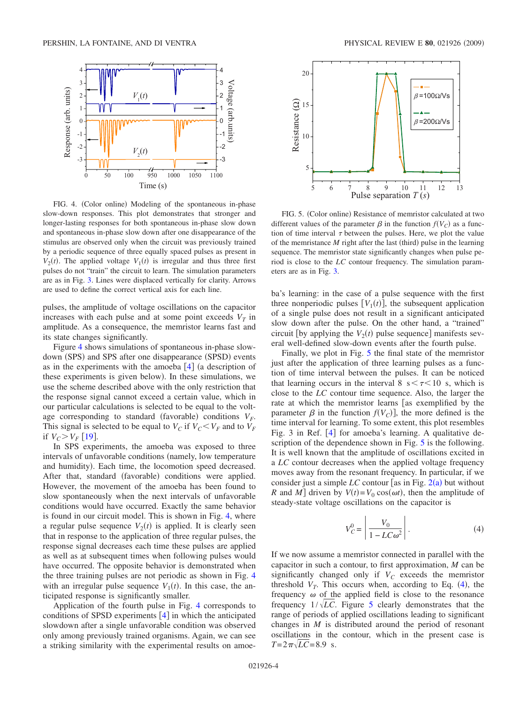<span id="page-4-0"></span>

FIG. 4. (Color online) Modeling of the spontaneous in-phase slow-down responses. This plot demonstrates that stronger and longer-lasting responses for both spontaneous in-phase slow down and spontaneous in-phase slow down after one disappearance of the stimulus are observed only when the circuit was previously trained by a periodic sequence of three equally spaced pulses as present in  $V_2(t)$ . The applied voltage  $V_1(t)$  is irregular and thus three first pulses do not "train" the circuit to learn. The simulation parameters are as in Fig. [3.](#page-3-3) Lines were displaced vertically for clarity. Arrows are used to define the correct vertical axis for each line.

pulses, the amplitude of voltage oscillations on the capacitor increases with each pulse and at some point exceeds  $V_T$  in amplitude. As a consequence, the memristor learns fast and its state changes significantly.

Figure [4](#page-4-0) shows simulations of spontaneous in-phase slowdown (SPS) and SPS after one disappearance (SPSD) events as in the experiments with the amoeba  $\lceil 4 \rceil$  $\lceil 4 \rceil$  $\lceil 4 \rceil$  (a description of these experiments is given below). In these simulations, we use the scheme described above with the only restriction that the response signal cannot exceed a certain value, which in our particular calculations is selected to be equal to the voltage corresponding to standard (favorable) conditions  $V_F$ . This signal is selected to be equal to  $V_C$  if  $V_C \lt V_F$  and to  $V_F$ if  $V_C > V_F$  [[19](#page-6-1)].

In SPS experiments, the amoeba was exposed to three intervals of unfavorable conditions (namely, low temperature and humidity). Each time, the locomotion speed decreased. After that, standard (favorable) conditions were applied. However, the movement of the amoeba has been found to slow spontaneously when the next intervals of unfavorable conditions would have occurred. Exactly the same behavior is found in our circuit model. This is shown in Fig. [4,](#page-4-0) where a regular pulse sequence  $V_2(t)$  is applied. It is clearly seen that in response to the application of three regular pulses, the response signal decreases each time these pulses are applied as well as at subsequent times when following pulses would have occurred. The opposite behavior is demonstrated when the three training pulses are not periodic as shown in Fig. [4](#page-4-0) with an irregular pulse sequence  $V_1(t)$ . In this case, the anticipated response is significantly smaller.

Application of the fourth pulse in Fig. [4](#page-4-0) corresponds to conditions of SPSD experiments  $[4]$  $[4]$  $[4]$  in which the anticipated slowdown after a single unfavorable condition was observed only among previously trained organisms. Again, we can see a striking similarity with the experimental results on amoe-

<span id="page-4-1"></span>

FIG. 5. (Color online) Resistance of memristor calculated at two different values of the parameter  $\beta$  in the function  $f(V_C)$  as a function of time interval  $\tau$  between the pulses. Here, we plot the value of the memristance  $M$  right after the last (third) pulse in the learning sequence. The memristor state significantly changes when pulse period is close to the *LC* contour frequency. The simulation parameters are as in Fig. [3.](#page-3-3)

ba's learning: in the case of a pulse sequence with the first three nonperiodic pulses  $[V_1(t)]$ , the subsequent application of a single pulse does not result in a significant anticipated slow down after the pulse. On the other hand, a "trained" circuit [by applying the  $V_2(t)$  pulse sequence] manifests several well-defined slow-down events after the fourth pulse.

Finally, we plot in Fig. [5](#page-4-1) the final state of the memristor just after the application of three learning pulses as a function of time interval between the pulses. It can be noticed that learning occurs in the interval 8  $s < \tau < 10$  s, which is close to the *LC* contour time sequence. Also, the larger the rate at which the memristor learns [as exemplified by the parameter  $\beta$  in the function  $f(V_C)$ , the more defined is the time interval for learning. To some extent, this plot resembles Fig. 3 in Ref.  $[4]$  $[4]$  $[4]$  for amoeba's learning. A qualitative de-scription of the dependence shown in Fig. [5](#page-4-1) is the following. It is well known that the amplitude of oscillations excited in a *LC* contour decreases when the applied voltage frequency moves away from the resonant frequency. In particular, if we consider just a simple  $LC$  contour [as in Fig.  $2(a)$  $2(a)$  but without *R* and *M*] driven by  $V(t) = V_0 \cos(\omega t)$ , then the amplitude of steady-state voltage oscillations on the capacitor is

$$
V_C^0 = \left| \frac{V_0}{1 - LC\omega^2} \right|.
$$
 (4)

<span id="page-4-2"></span>If we now assume a memristor connected in parallel with the capacitor in such a contour, to first approximation, *M* can be significantly changed only if  $V_C$  exceeds the memristor threshold  $V_T$ . This occurs when, according to Eq.  $(4)$  $(4)$  $(4)$ , the frequency  $\omega$  of the applied field is close to the resonance frequency  $1/\sqrt{LC}$ . Figure [5](#page-4-1) clearly demonstrates that the range of periods of applied oscillations leading to significant changes in *M* is distributed around the period of resonant oscillations in the contour, which in the present case is  $T = 2\pi\sqrt{LC} = 8.9$  s.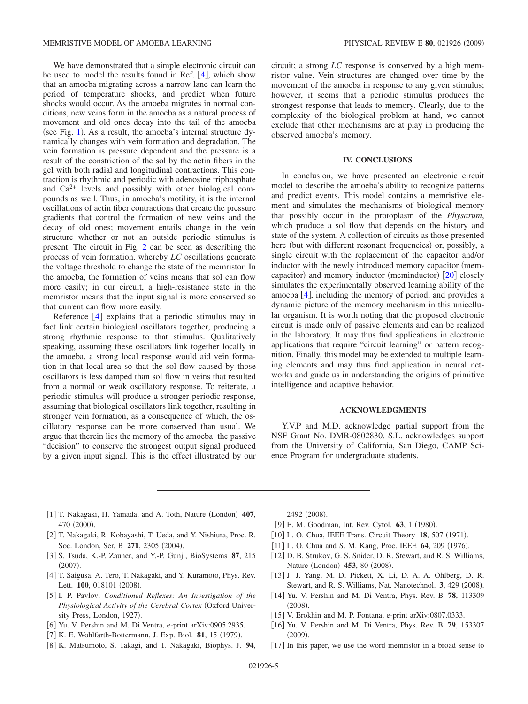We have demonstrated that a simple electronic circuit can be used to model the results found in Ref.  $[4]$  $[4]$  $[4]$ , which show that an amoeba migrating across a narrow lane can learn the period of temperature shocks, and predict when future shocks would occur. As the amoeba migrates in normal conditions, new veins form in the amoeba as a natural process of movement and old ones decay into the tail of the amoeba (see Fig. [1](#page-2-0)). As a result, the amoeba's internal structure dynamically changes with vein formation and degradation. The vein formation is pressure dependent and the pressure is a result of the constriction of the sol by the actin fibers in the gel with both radial and longitudinal contractions. This contraction is rhythmic and periodic with adenosine triphosphate and  $Ca<sup>2+</sup>$  levels and possibly with other biological compounds as well. Thus, in amoeba's motility, it is the internal oscillations of actin fiber contractions that create the pressure gradients that control the formation of new veins and the decay of old ones; movement entails change in the vein structure whether or not an outside periodic stimulus is present. The circuit in Fig. [2](#page-3-0) can be seen as describing the process of vein formation, whereby *LC* oscillations generate the voltage threshold to change the state of the memristor. In the amoeba, the formation of veins means that sol can flow more easily; in our circuit, a high-resistance state in the memristor means that the input signal is more conserved so that current can flow more easily.

Reference  $\lceil 4 \rceil$  $\lceil 4 \rceil$  $\lceil 4 \rceil$  explains that a periodic stimulus may in fact link certain biological oscillators together, producing a strong rhythmic response to that stimulus. Qualitatively speaking, assuming these oscillators link together locally in the amoeba, a strong local response would aid vein formation in that local area so that the sol flow caused by those oscillators is less damped than sol flow in veins that resulted from a normal or weak oscillatory response. To reiterate, a periodic stimulus will produce a stronger periodic response, assuming that biological oscillators link together, resulting in stronger vein formation, as a consequence of which, the oscillatory response can be more conserved than usual. We argue that therein lies the memory of the amoeba: the passive "decision" to conserve the strongest output signal produced by a given input signal. This is the effect illustrated by our circuit; a strong *LC* response is conserved by a high memristor value. Vein structures are changed over time by the movement of the amoeba in response to any given stimulus; however, it seems that a periodic stimulus produces the strongest response that leads to memory. Clearly, due to the complexity of the biological problem at hand, we cannot exclude that other mechanisms are at play in producing the observed amoeba's memory.

#### **IV. CONCLUSIONS**

In conclusion, we have presented an electronic circuit model to describe the amoeba's ability to recognize patterns and predict events. This model contains a memristive element and simulates the mechanisms of biological memory that possibly occur in the protoplasm of the *Physarum*, which produce a sol flow that depends on the history and state of the system. A collection of circuits as those presented here (but with different resonant frequencies) or, possibly, a single circuit with the replacement of the capacitor and/or inductor with the newly introduced memory capacitor (mem-capacitor) and memory inductor (meminductor) [[20](#page-6-2)] closely simulates the experimentally observed learning ability of the amoeba  $[4]$  $[4]$  $[4]$ , including the memory of period, and provides a dynamic picture of the memory mechanism in this unicellular organism. It is worth noting that the proposed electronic circuit is made only of passive elements and can be realized in the laboratory. It may thus find applications in electronic applications that require "circuit learning" or pattern recognition. Finally, this model may be extended to multiple learning elements and may thus find application in neural networks and guide us in understanding the origins of primitive intelligence and adaptive behavior.

#### **ACKNOWLEDGMENTS**

Y.V.P and M.D. acknowledge partial support from the NSF Grant No. DMR-0802830. S.L. acknowledges support from the University of California, San Diego, CAMP Science Program for undergraduate students.

- <span id="page-5-0"></span>[1] T. Nakagaki, H. Yamada, and A. Toth, Nature (London) 407, 470 (2000).
- <span id="page-5-1"></span>2 T. Nakagaki, R. Kobayashi, T. Ueda, and Y. Nishiura, Proc. R. Soc. London, Ser. B 271, 2305 (2004).
- <span id="page-5-2"></span>3 S. Tsuda, K.-P. Zauner, and Y.-P. Gunji, BioSystems **87**, 215  $(2007).$
- <span id="page-5-3"></span>[4] T. Saigusa, A. Tero, T. Nakagaki, and Y. Kuramoto, Phys. Rev. Lett. 100, 018101 (2008).
- <span id="page-5-4"></span>5 I. P. Pavlov, *Conditioned Reflexes: An Investigation of the Physiological Activity of the Cerebral Cortex* Oxford University Press, London, 1927).
- <span id="page-5-5"></span>[6] Yu. V. Pershin and M. Di Ventra, e-print arXiv:0905.2935.
- <span id="page-5-6"></span>[7] K. E. Wohlfarth-Bottermann, J. Exp. Biol. **81**, 15 (1979).
- <span id="page-5-7"></span>8 K. Matsumoto, S. Takagi, and T. Nakagaki, Biophys. J. **94**,

2492 (2008).

- <span id="page-5-8"></span>[9] E. M. Goodman, Int. Rev. Cytol. **63**, 1 (1980).
- <span id="page-5-9"></span>[10] L. O. Chua, IEEE Trans. Circuit Theory 18, 507 (1971).
- <span id="page-5-14"></span>[11] L. O. Chua and S. M. Kang, Proc. IEEE 64, 209 (1976).
- <span id="page-5-11"></span>[12] D. B. Strukov, G. S. Snider, D. R. Stewart, and R. S. Williams, Nature (London) 453, 80 (2008).
- <span id="page-5-12"></span>13 J. J. Yang, M. D. Pickett, X. Li, D. A. A. Ohlberg, D. R. Stewart, and R. S. Williams, Nat. Nanotechnol. 3, 429 (2008).
- 14 Yu. V. Pershin and M. Di Ventra, Phys. Rev. B **78**, 113309  $(2008).$
- [15] V. Erokhin and M. P. Fontana, e-print arXiv:0807.0333.
- <span id="page-5-10"></span>16 Yu. V. Pershin and M. Di Ventra, Phys. Rev. B **79**, 153307  $(2009).$
- <span id="page-5-13"></span>[17] In this paper, we use the word memristor in a broad sense to